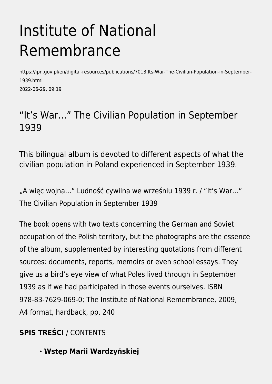# Institute of National Remembrance

https://ipn.gov.pl/en/digital-resources/publications/7013,Its-War-The-Civilian-Population-in-September-1939.html 2022-06-29, 09:19

## "It's War…" The Civilian Population in September 1939

This bilingual album is devoted to different aspects of what the civilian population in Poland experienced in September 1939.

"A więc wojna…" Ludność cywilna we wrześniu 1939 r. / "It's War…" The Civilian Population in September 1939

The book opens with two texts concerning the German and Soviet occupation of the Polish territory, but the photographs are the essence of the album, supplemented by interesting quotations from different sources: documents, reports, memoirs or even school essays. They give us a bird's eye view of what Poles lived through in September 1939 as if we had participated in those events ourselves. ISBN 978-83-7629-069-0; The Institute of National Remembrance, 2009, A4 format, hardback, pp. 240

### **SPIS TREŚCI** / CONTENTS

**Wstęp Marii Wardzyńskiej**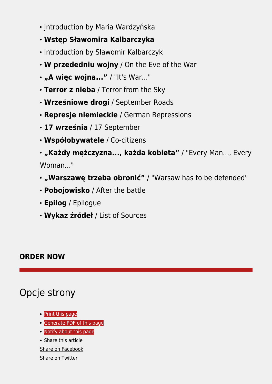- Introduction by Maria Wardzyńska
- **Wstęp Sławomira Kalbarczyka**
- Introduction by Sławomir Kalbarczyk
- **W przededniu wojny** / On the Eve of the War
- **"A więc wojna..."** / "It's War..."
- **Terror z nieba** / Terror from the Sky
- **Wrześniowe drogi** / September Roads
- **Represje niemieckie** / German Repressions
- **17 września** / 17 September
- **Współobywatele** / Co-citizens

**"Każdy mężczyzna..., każda kobieta"** / "Every Man..., Every Woman..."

- **"Warszawę trzeba obronić"** / "Warsaw has to be defended"
- **Pobojowisko** / After the battle
- **Epilog** / Epilogue
- **Wykaz źródeł** / List of Sources

#### **[ORDER NOW](https://ipn.poczytaj.pl/ksiazka/a-wiec-wojna-it-s-war-praca-zbiorowa,156134)**

## Opcje strony

- [Print](https://ipn.gov.pl/javascript:winopen() [this page](https://ipn.gov.pl/javascript:winopen()
- [Generate PDF](https://ipn.gov.pl/en/digital-resources/publications/7013,Its-War-The-Civilian-Population-in-September-1939.pdf) [of this page](https://ipn.gov.pl/en/digital-resources/publications/7013,Its-War-The-Civilian-Population-in-September-1939.pdf)
- [Notify](https://ipn.gov.pl/en/powiadom/7013,dok.html?poz=digital-resources/publications&drukuj=window) [about this page](https://ipn.gov.pl/en/powiadom/7013,dok.html?poz=digital-resources/publications&drukuj=window)
- Share this article
- [Share](https://www.facebook.com/sharer/sharer.php?u=https://ipn.gov.pl/en/digital-resources/publications/7013,Its-War-The-Civilian-Population-in-September-1939.html) [on Facebook](https://www.facebook.com/sharer/sharer.php?u=https://ipn.gov.pl/en/digital-resources/publications/7013,Its-War-The-Civilian-Population-in-September-1939.html)

#### [Share](https://twitter.com/share) [on Twitter](https://twitter.com/share)